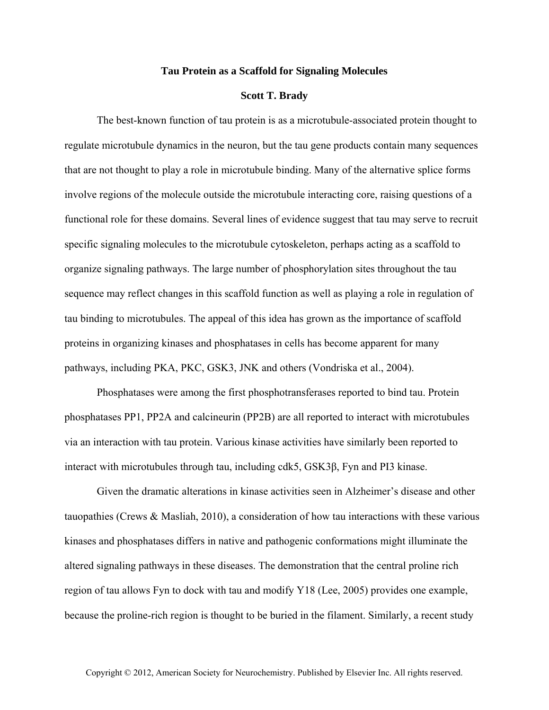## **Tau Protein as a Scaffold for Signaling Molecules**

## **Scott T. Brady**

The best-known function of tau protein is as a microtubule-associated protein thought to regulate microtubule dynamics in the neuron, but the tau gene products contain many sequences that are not thought to play a role in microtubule binding. Many of the alternative splice forms involve regions of the molecule outside the microtubule interacting core, raising questions of a functional role for these domains. Several lines of evidence suggest that tau may serve to recruit specific signaling molecules to the microtubule cytoskeleton, perhaps acting as a scaffold to organize signaling pathways. The large number of phosphorylation sites throughout the tau sequence may reflect changes in this scaffold function as well as playing a role in regulation of tau binding to microtubules. The appeal of this idea has grown as the importance of scaffold proteins in organizing kinases and phosphatases in cells has become apparent for many pathways, including PKA, PKC, GSK3, JNK and others (Vondriska et al., 2004).

Phosphatases were among the first phosphotransferases reported to bind tau. Protein phosphatases PP1, PP2A and calcineurin (PP2B) are all reported to interact with microtubules via an interaction with tau protein. Various kinase activities have similarly been reported to interact with microtubules through tau, including cdk5, GSK3β, Fyn and PI3 kinase.

Given the dramatic alterations in kinase activities seen in Alzheimer's disease and other tauopathies (Crews  $\&$  Masliah, 2010), a consideration of how tau interactions with these various kinases and phosphatases differs in native and pathogenic conformations might illuminate the altered signaling pathways in these diseases. The demonstration that the central proline rich region of tau allows Fyn to dock with tau and modify Y18 (Lee, 2005) provides one example, because the proline-rich region is thought to be buried in the filament. Similarly, a recent study